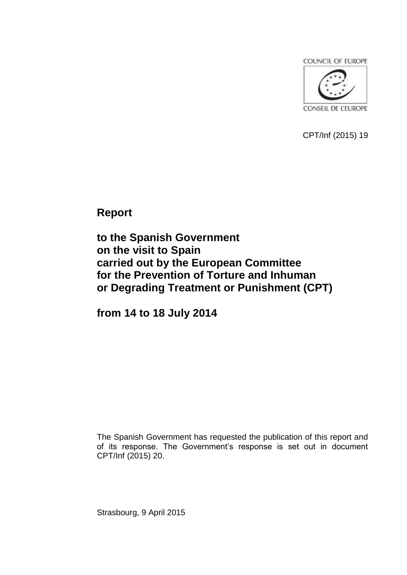COUNCIL OF EUROPE



CPT/Inf (2015) 19

**Report** 

**to the Spanish Government on the visit to Spain carried out by the European Committee for the Prevention of Torture and Inhuman or Degrading Treatment or Punishment (CPT)**

**from 14 to 18 July 2014**

The Spanish Government has requested the publication of this report and of its response. The Government's response is set out in document CPT/Inf (2015) 20.

Strasbourg, 9 April 2015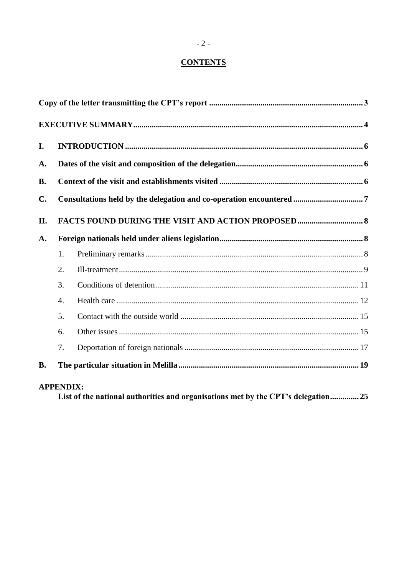# **CONTENTS**

| I.             |                  |                                                                     |  |  |
|----------------|------------------|---------------------------------------------------------------------|--|--|
| A.             |                  |                                                                     |  |  |
| <b>B.</b>      |                  |                                                                     |  |  |
| $\mathbf{C}$ . |                  | Consultations held by the delegation and co-operation encountered 7 |  |  |
| II.            |                  |                                                                     |  |  |
| A.             |                  |                                                                     |  |  |
|                | 1.               |                                                                     |  |  |
|                | 2.               |                                                                     |  |  |
|                | 3.               |                                                                     |  |  |
|                | $\overline{4}$ . |                                                                     |  |  |
|                | 5.               |                                                                     |  |  |
|                | 6.               |                                                                     |  |  |
|                | 7.               |                                                                     |  |  |
| <b>B.</b>      |                  |                                                                     |  |  |
|                | <b>APPENDIX:</b> |                                                                     |  |  |

List of the national authorities and organisations met by the CPT's delegation............... 25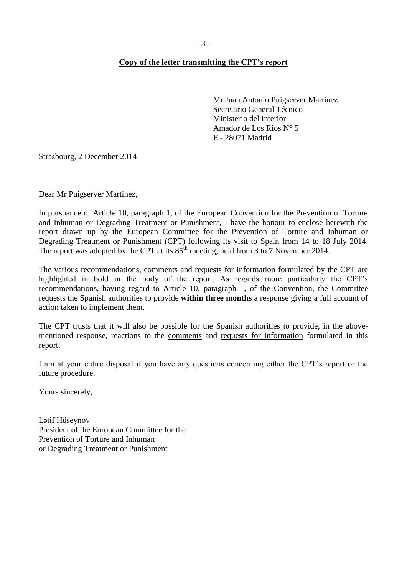### <span id="page-2-0"></span>**Copy of the letter transmitting the CPT's report**

Mr Juan Antonio Puigserver Martinez Secretario General Técnico Ministerio del Interior Amador de Los Rios N° 5 E - 28071 Madrid

Strasbourg, 2 December 2014

Dear Mr Puigserver Martinez,

In pursuance of Article 10, paragraph 1, of the European Convention for the Prevention of Torture and Inhuman or Degrading Treatment or Punishment, I have the honour to enclose herewith the report drawn up by the European Committee for the Prevention of Torture and Inhuman or Degrading Treatment or Punishment (CPT) following its visit to Spain from 14 to 18 July 2014. The report was adopted by the CPT at its  $85<sup>th</sup>$  meeting, held from 3 to 7 November 2014.

The various recommendations, comments and requests for information formulated by the CPT are highlighted in bold in the body of the report. As regards more particularly the CPT's recommendations, having regard to Article 10, paragraph 1, of the Convention, the Committee requests the Spanish authorities to provide **within three months** a response giving a full account of action taken to implement them.

The CPT trusts that it will also be possible for the Spanish authorities to provide, in the abovementioned response, reactions to the comments and requests for information formulated in this report.

I am at your entire disposal if you have any questions concerning either the CPT's report or the future procedure.

Yours sincerely,

Lәtif Hüseynov President of the European Committee for the Prevention of Torture and Inhuman or Degrading Treatment or Punishment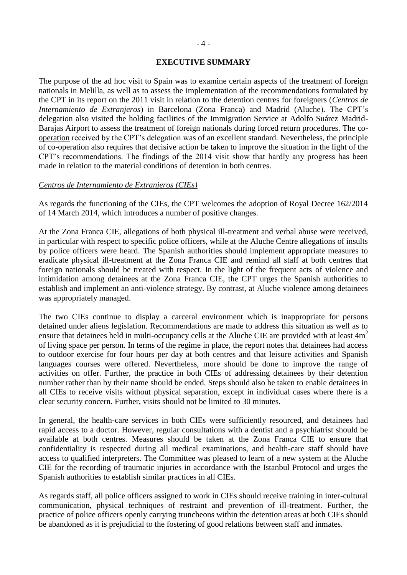#### **EXECUTIVE SUMMARY**

<span id="page-3-0"></span>The purpose of the ad hoc visit to Spain was to examine certain aspects of the treatment of foreign nationals in Melilla, as well as to assess the implementation of the recommendations formulated by the CPT in its report on the 2011 visit in relation to the detention centres for foreigners (*Centros de Internamiento de Extranjeros*) in Barcelona (Zona Franca) and Madrid (Aluche). The CPT's delegation also visited the holding facilities of the Immigration Service at Adolfo Suárez Madrid-Barajas Airport to assess the treatment of foreign nationals during forced return procedures. The cooperation received by the CPT's delegation was of an excellent standard. Nevertheless, the principle of co-operation also requires that decisive action be taken to improve the situation in the light of the CPT's recommendations. The findings of the 2014 visit show that hardly any progress has been made in relation to the material conditions of detention in both centres.

#### *Centros de Internamiento de Extranjeros (CIEs)*

As regards the functioning of the CIEs, the CPT welcomes the adoption of Royal Decree 162/2014 of 14 March 2014, which introduces a number of positive changes.

At the Zona Franca CIE, allegations of both physical ill-treatment and verbal abuse were received, in particular with respect to specific police officers, while at the Aluche Centre allegations of insults by police officers were heard. The Spanish authorities should implement appropriate measures to eradicate physical ill-treatment at the Zona Franca CIE and remind all staff at both centres that foreign nationals should be treated with respect. In the light of the frequent acts of violence and intimidation among detainees at the Zona Franca CIE, the CPT urges the Spanish authorities to establish and implement an anti-violence strategy. By contrast, at Aluche violence among detainees was appropriately managed.

The two CIEs continue to display a carceral environment which is inappropriate for persons detained under aliens legislation. Recommendations are made to address this situation as well as to ensure that detainees held in multi-occupancy cells at the Aluche CIE are provided with at least  $4m<sup>2</sup>$ of living space per person. In terms of the regime in place, the report notes that detainees had access to outdoor exercise for four hours per day at both centres and that leisure activities and Spanish languages courses were offered. Nevertheless, more should be done to improve the range of activities on offer. Further, the practice in both CIEs of addressing detainees by their detention number rather than by their name should be ended. Steps should also be taken to enable detainees in all CIEs to receive visits without physical separation, except in individual cases where there is a clear security concern. Further, visits should not be limited to 30 minutes.

In general, the health-care services in both CIEs were sufficiently resourced, and detainees had rapid access to a doctor. However, regular consultations with a dentist and a psychiatrist should be available at both centres. Measures should be taken at the Zona Franca CIE to ensure that confidentiality is respected during all medical examinations, and health-care staff should have access to qualified interpreters. The Committee was pleased to learn of a new system at the Aluche CIE for the recording of traumatic injuries in accordance with the Istanbul Protocol and urges the Spanish authorities to establish similar practices in all CIEs.

As regards staff, all police officers assigned to work in CIEs should receive training in inter-cultural communication, physical techniques of restraint and prevention of ill-treatment. Further, the practice of police officers openly carrying truncheons within the detention areas at both CIEs should be abandoned as it is prejudicial to the fostering of good relations between staff and inmates.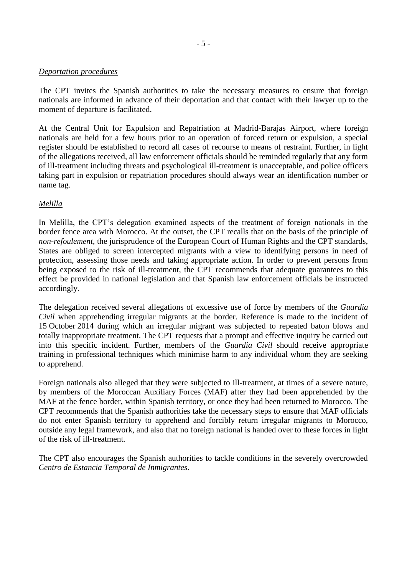#### *Deportation procedures*

The CPT invites the Spanish authorities to take the necessary measures to ensure that foreign nationals are informed in advance of their deportation and that contact with their lawyer up to the moment of departure is facilitated.

At the Central Unit for Expulsion and Repatriation at Madrid-Barajas Airport, where foreign nationals are held for a few hours prior to an operation of forced return or expulsion, a special register should be established to record all cases of recourse to means of restraint. Further, in light of the allegations received, all law enforcement officials should be reminded regularly that any form of ill-treatment including threats and psychological ill-treatment is unacceptable, and police officers taking part in expulsion or repatriation procedures should always wear an identification number or name tag.

### *Melilla*

In Melilla, the CPT's delegation examined aspects of the treatment of foreign nationals in the border fence area with Morocco. At the outset, the CPT recalls that on the basis of the principle of *non-refoulement*, the jurisprudence of the European Court of Human Rights and the CPT standards, States are obliged to screen intercepted migrants with a view to identifying persons in need of protection, assessing those needs and taking appropriate action. In order to prevent persons from being exposed to the risk of ill-treatment, the CPT recommends that adequate guarantees to this effect be provided in national legislation and that Spanish law enforcement officials be instructed accordingly.

The delegation received several allegations of excessive use of force by members of the *Guardia Civil* when apprehending irregular migrants at the border. Reference is made to the incident of 15 October 2014 during which an irregular migrant was subjected to repeated baton blows and totally inappropriate treatment. The CPT requests that a prompt and effective inquiry be carried out into this specific incident. Further, members of the *Guardia Civil* should receive appropriate training in professional techniques which minimise harm to any individual whom they are seeking to apprehend.

Foreign nationals also alleged that they were subjected to ill-treatment, at times of a severe nature, by members of the Moroccan Auxiliary Forces (MAF) after they had been apprehended by the MAF at the fence border, within Spanish territory, or once they had been returned to Morocco. The CPT recommends that the Spanish authorities take the necessary steps to ensure that MAF officials do not enter Spanish territory to apprehend and forcibly return irregular migrants to Morocco, outside any legal framework, and also that no foreign national is handed over to these forces in light of the risk of ill-treatment.

<span id="page-4-0"></span>The CPT also encourages the Spanish authorities to tackle conditions in the severely overcrowded *Centro de Estancia Temporal de Inmigrantes*.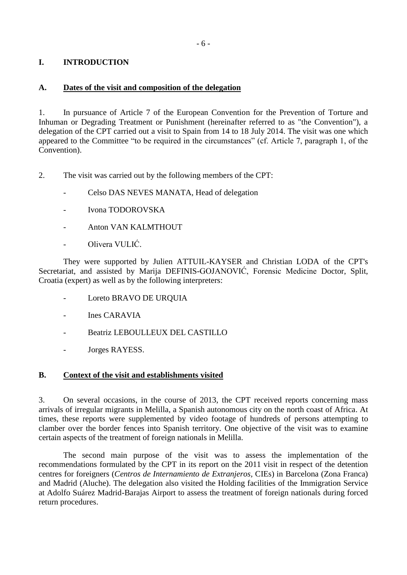# **I. INTRODUCTION**

### <span id="page-5-0"></span>**A. Dates of the visit and composition of the delegation**

1. In pursuance of Article 7 of the European Convention for the Prevention of Torture and Inhuman or Degrading Treatment or Punishment (hereinafter referred to as "the Convention"), a delegation of the CPT carried out a visit to Spain from 14 to 18 July 2014. The visit was one which appeared to the Committee "to be required in the circumstances" (cf. Article 7, paragraph 1, of the Convention).

- 2. The visit was carried out by the following members of the CPT:
	- Celso DAS NEVES MANATA, Head of delegation
	- Ivona TODOROVSKA
	- Anton VAN KALMTHOUT
	- Olivera VULIĆ.

They were supported by Julien ATTUIL-KAYSER and Christian LODA of the CPT's Secretariat, and assisted by Marija DEFINIS-GOJANOVIĆ, Forensic Medicine Doctor, Split, Croatia (expert) as well as by the following interpreters:

- Loreto BRAVO DE URQUIA
- Ines CARAVIA
- Beatriz LEBOULLEUX DEL CASTILLO
- Jorges RAYESS.

### <span id="page-5-1"></span>**B. Context of the visit and establishments visited**

3. On several occasions, in the course of 2013, the CPT received reports concerning mass arrivals of irregular migrants in Melilla, a Spanish autonomous city on the north coast of Africa. At times, these reports were supplemented by video footage of hundreds of persons attempting to clamber over the border fences into Spanish territory. One objective of the visit was to examine certain aspects of the treatment of foreign nationals in Melilla.

<span id="page-5-2"></span>The second main purpose of the visit was to assess the implementation of the recommendations formulated by the CPT in its report on the 2011 visit in respect of the detention centres for foreigners (*Centros de Internamiento de Extranjeros,* CIEs) in Barcelona (Zona Franca) and Madrid (Aluche). The delegation also visited the Holding facilities of the Immigration Service at Adolfo Suárez Madrid-Barajas Airport to assess the treatment of foreign nationals during forced return procedures.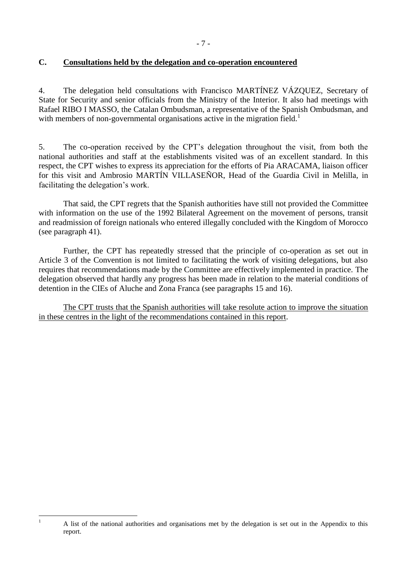## **C. Consultations held by the delegation and co-operation encountered**

4. The delegation held consultations with Francisco MARTÍNEZ VÁZQUEZ, Secretary of State for Security and senior officials from the Ministry of the Interior. It also had meetings with Rafael RIBO I MASSO, the Catalan Ombudsman, a representative of the Spanish Ombudsman, and with members of non-governmental organisations active in the migration field.<sup>1</sup>

5. The co-operation received by the CPT's delegation throughout the visit, from both the national authorities and staff at the establishments visited was of an excellent standard. In this respect, the CPT wishes to express its appreciation for the efforts of Pia ARACAMA, liaison officer for this visit and Ambrosio MARTÍN VILLASEÑOR, Head of the Guardia Civil in Melilla, in facilitating the delegation's work.

That said, the CPT regrets that the Spanish authorities have still not provided the Committee with information on the use of the 1992 Bilateral Agreement on the movement of persons, transit and readmission of foreign nationals who entered illegally concluded with the Kingdom of Morocco (see paragraph 41).

Further, the CPT has repeatedly stressed that the principle of co-operation as set out in Article 3 of the Convention is not limited to facilitating the work of visiting delegations, but also requires that recommendations made by the Committee are effectively implemented in practice. The delegation observed that hardly any progress has been made in relation to the material conditions of detention in the CIEs of Aluche and Zona Franca (see paragraphs 15 and 16).

The CPT trusts that the Spanish authorities will take resolute action to improve the situation in these centres in the light of the recommendations contained in this report.

 $\overline{1}$ 

<sup>1</sup> A list of the national authorities and organisations met by the delegation is set out in the Appendix to this report.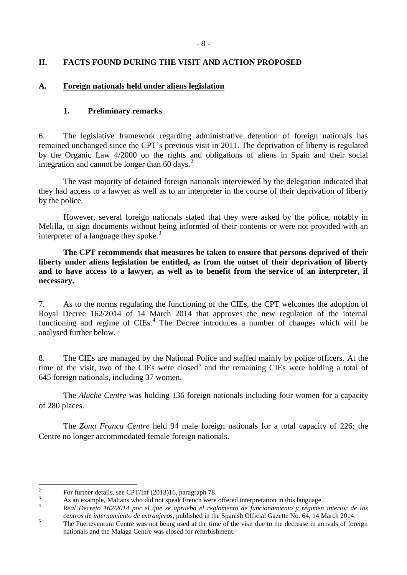# <span id="page-7-0"></span>**II. FACTS FOUND DURING THE VISIT AND ACTION PROPOSED**

### <span id="page-7-2"></span><span id="page-7-1"></span>**A. Foreign nationals held under aliens legislation**

### **1. Preliminary remarks**

6. The legislative framework regarding administrative detention of foreign nationals has remained unchanged since the CPT's previous visit in 2011. The deprivation of liberty is regulated by the Organic Law 4/2000 on the rights and obligations of aliens in Spain and their social integration and cannot be longer than  $60 \text{ days}$ <sup>2</sup>

The vast majority of detained foreign nationals interviewed by the delegation indicated that they had access to a lawyer as well as to an interpreter in the course of their deprivation of liberty by the police.

However, several foreign nationals stated that they were asked by the police, notably in Melilla, to sign documents without being informed of their contents or were not provided with an interpreter of a language they spoke. $3$ 

**The CPT recommends that measures be taken to ensure that persons deprived of their liberty under aliens legislation be entitled, as from the outset of their deprivation of liberty and to have access to a lawyer, as well as to benefit from the service of an interpreter, if necessary.**

7. As to the norms regulating the functioning of the CIEs, the CPT welcomes the adoption of Royal Decree 162/2014 of 14 March 2014 that approves the new regulation of the internal functioning and regime of CIEs.<sup>4</sup> The Decree introduces a number of changes which will be analysed further below.

8. The CIEs are managed by the National Police and staffed mainly by police officers. At the time of the visit, two of the CIEs were closed<sup>5</sup> and the remaining CIEs were holding a total of 645 foreign nationals, including 37 women.

The *Aluche Centre* was holding 136 foreign nationals including four women for a capacity of 280 places.

The *Zona Franca Centre* held 94 male foreign nationals for a total capacity of 226; the Centre no longer accommodated female foreign nationals.

 $\frac{1}{2}$ For further details, see CPT/Inf (2013)16, paragraph 78.

<sup>&</sup>lt;sup>3</sup><br>As an example, Malians who did not speak French were offered interpretation in this language.

<sup>4</sup> *Real Decreto 162/2014 por el que se aprueba el reglamento de funcionamiento y régimen interior de los centros de internamiento de extranjeros*, published in the Spanish Official Gazette No. 64, 14 March 2014.

<sup>&</sup>lt;sup>5</sup><br>The Fuerteventura Centre was not being used at the time of the visit due to the decrease in arrivals of foreign nationals and the Malaga Centre was closed for refurbishment.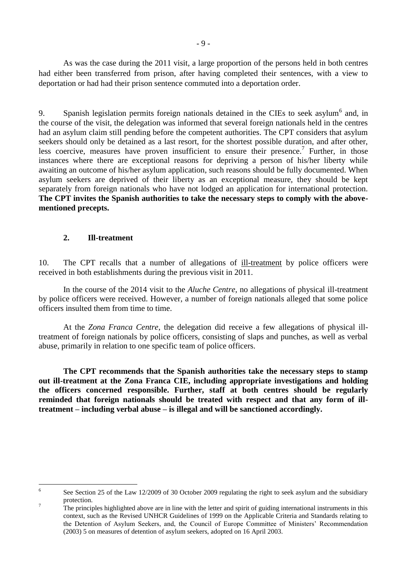As was the case during the 2011 visit, a large proportion of the persons held in both centres had either been transferred from prison, after having completed their sentences, with a view to deportation or had had their prison sentence commuted into a deportation order.

9. Spanish legislation permits foreign nationals detained in the CIEs to seek asylum<sup>6</sup> and, in the course of the visit, the delegation was informed that several foreign nationals held in the centres had an asylum claim still pending before the competent authorities. The CPT considers that asylum seekers should only be detained as a last resort, for the shortest possible duration, and after other, less coercive, measures have proven insufficient to ensure their presence.<sup>7</sup> Further, in those instances where there are exceptional reasons for depriving a person of his/her liberty while awaiting an outcome of his/her asylum application, such reasons should be fully documented. When asylum seekers are deprived of their liberty as an exceptional measure, they should be kept separately from foreign nationals who have not lodged an application for international protection. **The CPT invites the Spanish authorities to take the necessary steps to comply with the abovementioned precepts.**

### **2. Ill-treatment**

<span id="page-8-0"></span>10. The CPT recalls that a number of allegations of ill-treatment by police officers were received in both establishments during the previous visit in 2011.

In the course of the 2014 visit to the *Aluche Centre*, no allegations of physical ill-treatment by police officers were received. However, a number of foreign nationals alleged that some police officers insulted them from time to time.

At the *Zona Franca Centre*, the delegation did receive a few allegations of physical illtreatment of foreign nationals by police officers, consisting of slaps and punches, as well as verbal abuse, primarily in relation to one specific team of police officers.

**The CPT recommends that the Spanish authorities take the necessary steps to stamp out ill-treatment at the Zona Franca CIE, including appropriate investigations and holding the officers concerned responsible. Further, staff at both centres should be regularly reminded that foreign nationals should be treated with respect and that any form of illtreatment – including verbal abuse – is illegal and will be sanctioned accordingly.**

 $\frac{1}{6}$ See Section 25 of the Law 12/2009 of 30 October 2009 regulating the right to seek asylum and the subsidiary protection.

<sup>&</sup>lt;sup>7</sup> The principles highlighted above are in line with the letter and spirit of guiding international instruments in this context, such as the Revised UNHCR Guidelines of 1999 on the Applicable Criteria and Standards relating to the Detention of Asylum Seekers, and, the Council of Europe Committee of Ministers' Recommendation (2003) 5 on measures of detention of asylum seekers, adopted on 16 April 2003.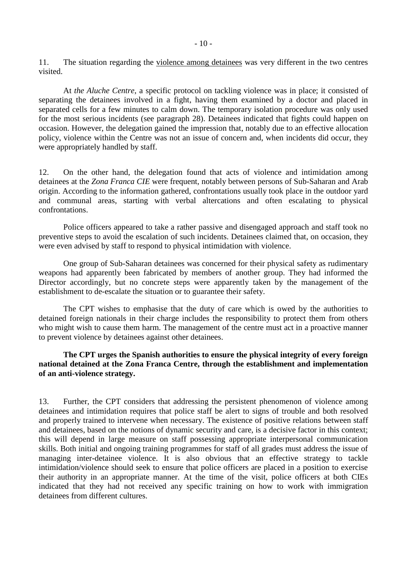11. The situation regarding the violence among detainees was very different in the two centres visited.

At *the Aluche Centre*, a specific protocol on tackling violence was in place; it consisted of separating the detainees involved in a fight, having them examined by a doctor and placed in separated cells for a few minutes to calm down. The temporary isolation procedure was only used for the most serious incidents (see paragraph 28). Detainees indicated that fights could happen on occasion. However, the delegation gained the impression that, notably due to an effective allocation policy, violence within the Centre was not an issue of concern and, when incidents did occur, they were appropriately handled by staff.

12. On the other hand, the delegation found that acts of violence and intimidation among detainees at the *Zona Franca CIE* were frequent, notably between persons of Sub-Saharan and Arab origin. According to the information gathered, confrontations usually took place in the outdoor yard and communal areas, starting with verbal altercations and often escalating to physical confrontations.

Police officers appeared to take a rather passive and disengaged approach and staff took no preventive steps to avoid the escalation of such incidents. Detainees claimed that, on occasion, they were even advised by staff to respond to physical intimidation with violence.

One group of Sub-Saharan detainees was concerned for their physical safety as rudimentary weapons had apparently been fabricated by members of another group. They had informed the Director accordingly, but no concrete steps were apparently taken by the management of the establishment to de-escalate the situation or to guarantee their safety.

The CPT wishes to emphasise that the duty of care which is owed by the authorities to detained foreign nationals in their charge includes the responsibility to protect them from others who might wish to cause them harm. The management of the centre must act in a proactive manner to prevent violence by detainees against other detainees.

### **The CPT urges the Spanish authorities to ensure the physical integrity of every foreign national detained at the Zona Franca Centre, through the establishment and implementation of an anti-violence strategy.**

13. Further, the CPT considers that addressing the persistent phenomenon of violence among detainees and intimidation requires that police staff be alert to signs of trouble and both resolved and properly trained to intervene when necessary. The existence of positive relations between staff and detainees, based on the notions of dynamic security and care, is a decisive factor in this context; this will depend in large measure on staff possessing appropriate interpersonal communication skills. Both initial and ongoing training programmes for staff of all grades must address the issue of managing inter-detainee violence. It is also obvious that an effective strategy to tackle intimidation/violence should seek to ensure that police officers are placed in a position to exercise their authority in an appropriate manner. At the time of the visit, police officers at both CIEs indicated that they had not received any specific training on how to work with immigration detainees from different cultures.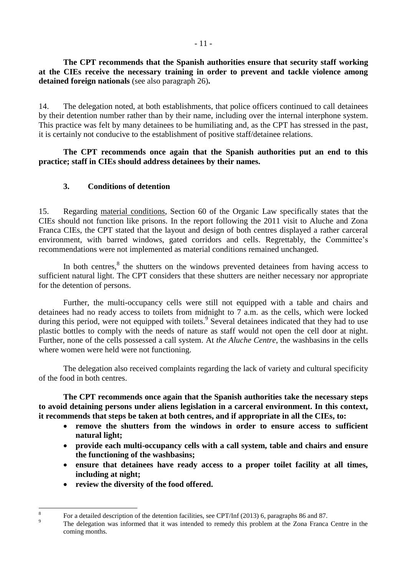**The CPT recommends that the Spanish authorities ensure that security staff working at the CIEs receive the necessary training in order to prevent and tackle violence among detained foreign nationals** (see also paragraph 26)**.**

14. The delegation noted, at both establishments, that police officers continued to call detainees by their detention number rather than by their name, including over the internal interphone system. This practice was felt by many detainees to be humiliating and, as the CPT has stressed in the past, it is certainly not conducive to the establishment of positive staff/detainee relations.

### **The CPT recommends once again that the Spanish authorities put an end to this practice; staff in CIEs should address detainees by their names.**

# **3. Conditions of detention**

<span id="page-10-0"></span>15. Regarding material conditions, Section 60 of the Organic Law specifically states that the CIEs should not function like prisons. In the report following the 2011 visit to Aluche and Zona Franca CIEs, the CPT stated that the layout and design of both centres displayed a rather carceral environment, with barred windows, gated corridors and cells. Regrettably, the Committee's recommendations were not implemented as material conditions remained unchanged.

In both centres, $<sup>8</sup>$  the shutters on the windows prevented detainees from having access to</sup> sufficient natural light. The CPT considers that these shutters are neither necessary nor appropriate for the detention of persons.

Further, the multi-occupancy cells were still not equipped with a table and chairs and detainees had no ready access to toilets from midnight to 7 a.m. as the cells, which were locked during this period, were not equipped with toilets.<sup>9</sup> Several detainees indicated that they had to use plastic bottles to comply with the needs of nature as staff would not open the cell door at night. Further, none of the cells possessed a call system. At *the Aluche Centre*, the washbasins in the cells where women were held were not functioning.

The delegation also received complaints regarding the lack of variety and cultural specificity of the food in both centres.

**The CPT recommends once again that the Spanish authorities take the necessary steps to avoid detaining persons under aliens legislation in a carceral environment. In this context, it recommends that steps be taken at both centres, and if appropriate in all the CIEs, to:**

- **remove the shutters from the windows in order to ensure access to sufficient natural light;**
- **provide each multi-occupancy cells with a call system, table and chairs and ensure the functioning of the washbasins;**
- **ensure that detainees have ready access to a proper toilet facility at all times, including at night;**
- **review the diversity of the food offered.**

 $\frac{1}{8}$ For a detailed description of the detention facilities, see CPT/Inf (2013) 6, paragraphs 86 and 87.

<sup>&</sup>lt;sup>9</sup><br><sup>9</sup> The delegation was informed that it was intended to remedy this problem at the Zona Franca Centre in the coming months.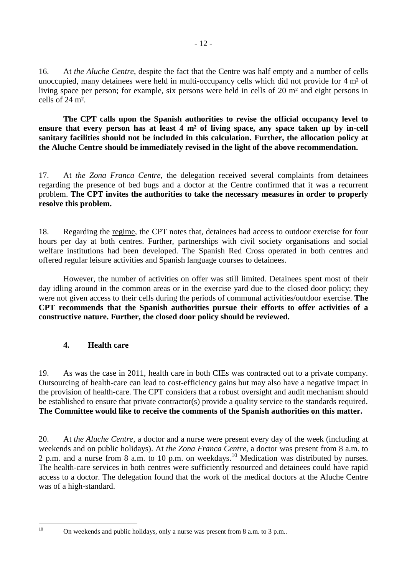16. At *the Aluche Centre*, despite the fact that the Centre was half empty and a number of cells unoccupied, many detainees were held in multi-occupancy cells which did not provide for 4 m² of living space per person; for example, six persons were held in cells of 20 m² and eight persons in cells of 24 m².

**The CPT calls upon the Spanish authorities to revise the official occupancy level to ensure that every person has at least 4 m² of living space, any space taken up by in-cell sanitary facilities should not be included in this calculation. Further, the allocation policy at the Aluche Centre should be immediately revised in the light of the above recommendation.** 

17. At *the Zona Franca Centre*, the delegation received several complaints from detainees regarding the presence of bed bugs and a doctor at the Centre confirmed that it was a recurrent problem. **The CPT invites the authorities to take the necessary measures in order to properly resolve this problem.**

18. Regarding the regime, the CPT notes that, detainees had access to outdoor exercise for four hours per day at both centres. Further, partnerships with civil society organisations and social welfare institutions had been developed. The Spanish Red Cross operated in both centres and offered regular leisure activities and Spanish language courses to detainees.

However, the number of activities on offer was still limited. Detainees spent most of their day idling around in the common areas or in the exercise yard due to the closed door policy; they were not given access to their cells during the periods of communal activities/outdoor exercise. **The CPT recommends that the Spanish authorities pursue their efforts to offer activities of a constructive nature. Further, the closed door policy should be reviewed.**

# <span id="page-11-0"></span>**4. Health care**

19. As was the case in 2011, health care in both CIEs was contracted out to a private company. Outsourcing of health-care can lead to cost-efficiency gains but may also have a negative impact in the provision of health-care. The CPT considers that a robust oversight and audit mechanism should be established to ensure that private contractor(s) provide a quality service to the standards required. **The Committee would like to receive the comments of the Spanish authorities on this matter.**

20. At *the Aluche Centre*, a doctor and a nurse were present every day of the week (including at weekends and on public holidays). At *the Zona Franca Centre*, a doctor was present from 8 a.m. to 2 p.m. and a nurse from 8 a.m. to 10 p.m. on weekdays.<sup>10</sup> Medication was distributed by nurses. The health-care services in both centres were sufficiently resourced and detainees could have rapid access to a doctor. The delegation found that the work of the medical doctors at the Aluche Centre was of a high-standard.

 $10$ 

<sup>10</sup> On weekends and public holidays, only a nurse was present from 8 a.m. to 3 p.m..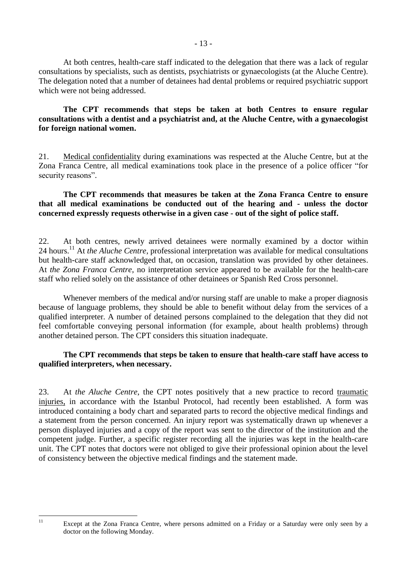At both centres, health-care staff indicated to the delegation that there was a lack of regular consultations by specialists, such as dentists, psychiatrists or gynaecologists (at the Aluche Centre). The delegation noted that a number of detainees had dental problems or required psychiatric support which were not being addressed.

### **The CPT recommends that steps be taken at both Centres to ensure regular consultations with a dentist and a psychiatrist and, at the Aluche Centre, with a gynaecologist for foreign national women.**

21. Medical confidentiality during examinations was respected at the Aluche Centre, but at the Zona Franca Centre, all medical examinations took place in the presence of a police officer "for security reasons".

#### **The CPT recommends that measures be taken at the Zona Franca Centre to ensure that all medical examinations be conducted out of the hearing and - unless the doctor concerned expressly requests otherwise in a given case - out of the sight of police staff.**

22. At both centres, newly arrived detainees were normally examined by a doctor within 24 hours. <sup>11</sup> At *the Aluche Centre*, professional interpretation was available for medical consultations but health-care staff acknowledged that, on occasion, translation was provided by other detainees. At *the Zona Franca Centre*, no interpretation service appeared to be available for the health-care staff who relied solely on the assistance of other detainees or Spanish Red Cross personnel.

Whenever members of the medical and/or nursing staff are unable to make a proper diagnosis because of language problems, they should be able to benefit without delay from the services of a qualified interpreter. A number of detained persons complained to the delegation that they did not feel comfortable conveying personal information (for example, about health problems) through another detained person. The CPT considers this situation inadequate.

### **The CPT recommends that steps be taken to ensure that health-care staff have access to qualified interpreters, when necessary.**

23. At *the Aluche Centre*, the CPT notes positively that a new practice to record traumatic injuries, in accordance with the Istanbul Protocol, had recently been established. A form was introduced containing a body chart and separated parts to record the objective medical findings and a statement from the person concerned. An injury report was systematically drawn up whenever a person displayed injuries and a copy of the report was sent to the director of the institution and the competent judge. Further, a specific register recording all the injuries was kept in the health-care unit. The CPT notes that doctors were not obliged to give their professional opinion about the level of consistency between the objective medical findings and the statement made.

 $11$ 

Except at the Zona Franca Centre, where persons admitted on a Friday or a Saturday were only seen by a doctor on the following Monday.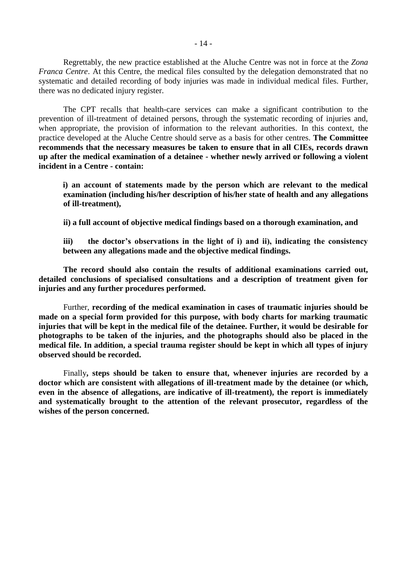Regrettably, the new practice established at the Aluche Centre was not in force at the *Zona Franca Centre*. At this Centre, the medical files consulted by the delegation demonstrated that no systematic and detailed recording of body injuries was made in individual medical files. Further, there was no dedicated injury register.

The CPT recalls that health-care services can make a significant contribution to the prevention of ill-treatment of detained persons, through the systematic recording of injuries and, when appropriate, the provision of information to the relevant authorities. In this context, the practice developed at the Aluche Centre should serve as a basis for other centres. **The Committee recommends that the necessary measures be taken to ensure that in all CIEs, records drawn up after the medical examination of a detainee - whether newly arrived or following a violent incident in a Centre - contain:** 

**i) an account of statements made by the person which are relevant to the medical examination (including his/her description of his/her state of health and any allegations of ill-treatment),**

**ii) a full account of objective medical findings based on a thorough examination, and** 

**iii) the doctor's observations in the light of i) and ii), indicating the consistency between any allegations made and the objective medical findings.** 

**The record should also contain the results of additional examinations carried out, detailed conclusions of specialised consultations and a description of treatment given for injuries and any further procedures performed.**

Further, **recording of the medical examination in cases of traumatic injuries should be made on a special form provided for this purpose, with body charts for marking traumatic injuries that will be kept in the medical file of the detainee. Further, it would be desirable for photographs to be taken of the injuries, and the photographs should also be placed in the medical file. In addition, a special trauma register should be kept in which all types of injury observed should be recorded.**

Finally**, steps should be taken to ensure that, whenever injuries are recorded by a doctor which are consistent with allegations of ill-treatment made by the detainee (or which, even in the absence of allegations, are indicative of ill-treatment), the report is immediately and systematically brought to the attention of the relevant prosecutor, regardless of the wishes of the person concerned.**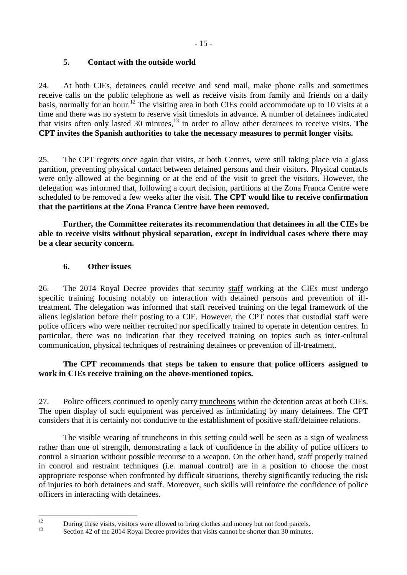## **5. Contact with the outside world**

<span id="page-14-0"></span>24. At both CIEs, detainees could receive and send mail, make phone calls and sometimes receive calls on the public telephone as well as receive visits from family and friends on a daily basis, normally for an hour.<sup>12</sup> The visiting area in both CIEs could accommodate up to 10 visits at a time and there was no system to reserve visit timeslots in advance. A number of detainees indicated that visits often only lasted 30 minutes, <sup>13</sup> in order to allow other detainees to receive visits. **The CPT invites the Spanish authorities to take the necessary measures to permit longer visits.**

25. The CPT regrets once again that visits, at both Centres, were still taking place via a glass partition, preventing physical contact between detained persons and their visitors. Physical contacts were only allowed at the beginning or at the end of the visit to greet the visitors. However, the delegation was informed that, following a court decision, partitions at the Zona Franca Centre were scheduled to be removed a few weeks after the visit. **The CPT would like to receive confirmation that the partitions at the Zona Franca Centre have been removed.**

**Further, the Committee reiterates its recommendation that detainees in all the CIEs be able to receive visits without physical separation, except in individual cases where there may be a clear security concern.**

# **6. Other issues**

<span id="page-14-1"></span>26. The 2014 Royal Decree provides that security staff working at the CIEs must undergo specific training focusing notably on interaction with detained persons and prevention of illtreatment. The delegation was informed that staff received training on the legal framework of the aliens legislation before their posting to a CIE. However, the CPT notes that custodial staff were police officers who were neither recruited nor specifically trained to operate in detention centres. In particular, there was no indication that they received training on topics such as inter-cultural communication, physical techniques of restraining detainees or prevention of ill-treatment.

# **The CPT recommends that steps be taken to ensure that police officers assigned to work in CIEs receive training on the above-mentioned topics.**

27. Police officers continued to openly carry truncheons within the detention areas at both CIEs. The open display of such equipment was perceived as intimidating by many detainees. The CPT considers that it is certainly not conducive to the establishment of positive staff/detainee relations.

The visible wearing of truncheons in this setting could well be seen as a sign of weakness rather than one of strength, demonstrating a lack of confidence in the ability of police officers to control a situation without possible recourse to a weapon. On the other hand, staff properly trained in control and restraint techniques (i.e. manual control) are in a position to choose the most appropriate response when confronted by difficult situations, thereby significantly reducing the risk of injuries to both detainees and staff. Moreover, such skills will reinforce the confidence of police officers in interacting with detainees.

 $12$ <sup>12</sup> During these visits, visitors were allowed to bring clothes and money but not food parcels.<br><sup>13</sup> Section 42 of the 2014 Beyel Degree provides that visits cannot be shorter than 20 minutes

Section 42 of the 2014 Royal Decree provides that visits cannot be shorter than 30 minutes.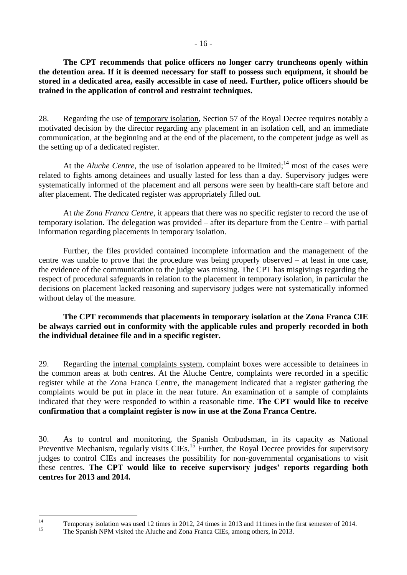**The CPT recommends that police officers no longer carry truncheons openly within the detention area. If it is deemed necessary for staff to possess such equipment, it should be stored in a dedicated area, easily accessible in case of need. Further, police officers should be trained in the application of control and restraint techniques.**

28. Regarding the use of temporary isolation, Section 57 of the Royal Decree requires notably a motivated decision by the director regarding any placement in an isolation cell, and an immediate communication, at the beginning and at the end of the placement, to the competent judge as well as the setting up of a dedicated register.

At the *Aluche Centre*, the use of isolation appeared to be limited;<sup>14</sup> most of the cases were related to fights among detainees and usually lasted for less than a day. Supervisory judges were systematically informed of the placement and all persons were seen by health-care staff before and after placement. The dedicated register was appropriately filled out.

At *the Zona Franca Centre*, it appears that there was no specific register to record the use of temporary isolation. The delegation was provided – after its departure from the Centre – with partial information regarding placements in temporary isolation.

Further, the files provided contained incomplete information and the management of the centre was unable to prove that the procedure was being properly observed – at least in one case, the evidence of the communication to the judge was missing. The CPT has misgivings regarding the respect of procedural safeguards in relation to the placement in temporary isolation, in particular the decisions on placement lacked reasoning and supervisory judges were not systematically informed without delay of the measure.

**The CPT recommends that placements in temporary isolation at the Zona Franca CIE be always carried out in conformity with the applicable rules and properly recorded in both the individual detainee file and in a specific register.**

29. Regarding the internal complaints system, complaint boxes were accessible to detainees in the common areas at both centres. At the Aluche Centre, complaints were recorded in a specific register while at the Zona Franca Centre, the management indicated that a register gathering the complaints would be put in place in the near future. An examination of a sample of complaints indicated that they were responded to within a reasonable time. **The CPT would like to receive confirmation that a complaint register is now in use at the Zona Franca Centre.**

30. As to control and monitoring, the Spanish Ombudsman, in its capacity as National Preventive Mechanism, regularly visits CIEs.<sup>15</sup> Further, the Royal Decree provides for supervisory judges to control CIEs and increases the possibility for non-governmental organisations to visit these centres. **The CPT would like to receive supervisory judges' reports regarding both centres for 2013 and 2014.**

<span id="page-15-0"></span> $14$ <sup>14</sup> Temporary isolation was used 12 times in 2012, 24 times in 2013 and 11times in the first semester of 2014.

<sup>15</sup> The Spanish NPM visited the Aluche and Zona Franca CIEs, among others, in 2013.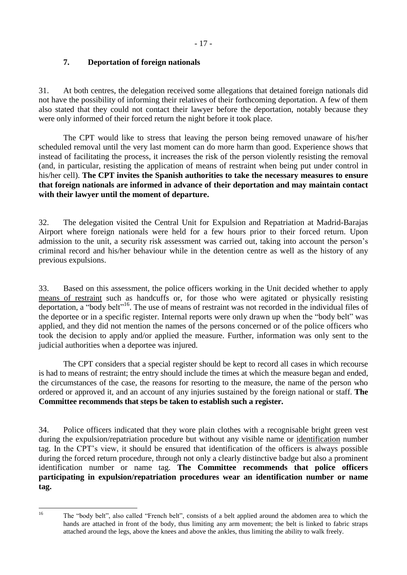# **7. Deportation of foreign nationals**

31. At both centres, the delegation received some allegations that detained foreign nationals did not have the possibility of informing their relatives of their forthcoming deportation. A few of them also stated that they could not contact their lawyer before the deportation, notably because they were only informed of their forced return the night before it took place.

The CPT would like to stress that leaving the person being removed unaware of his/her scheduled removal until the very last moment can do more harm than good. Experience shows that instead of facilitating the process, it increases the risk of the person violently resisting the removal (and, in particular, resisting the application of means of restraint when being put under control in his/her cell). **The CPT invites the Spanish authorities to take the necessary measures to ensure that foreign nationals are informed in advance of their deportation and may maintain contact with their lawyer until the moment of departure.**

32. The delegation visited the Central Unit for Expulsion and Repatriation at Madrid-Barajas Airport where foreign nationals were held for a few hours prior to their forced return. Upon admission to the unit, a security risk assessment was carried out, taking into account the person's criminal record and his/her behaviour while in the detention centre as well as the history of any previous expulsions.

33. Based on this assessment, the police officers working in the Unit decided whether to apply means of restraint such as handcuffs or, for those who were agitated or physically resisting deportation, a "body belt"<sup>16</sup>. The use of means of restraint was not recorded in the individual files of the deportee or in a specific register. Internal reports were only drawn up when the "body belt" was applied, and they did not mention the names of the persons concerned or of the police officers who took the decision to apply and/or applied the measure. Further, information was only sent to the judicial authorities when a deportee was injured.

The CPT considers that a special register should be kept to record all cases in which recourse is had to means of restraint; the entry should include the times at which the measure began and ended, the circumstances of the case, the reasons for resorting to the measure, the name of the person who ordered or approved it, and an account of any injuries sustained by the foreign national or staff. **The Committee recommends that steps be taken to establish such a register.**

34. Police officers indicated that they wore plain clothes with a recognisable bright green vest during the expulsion/repatriation procedure but without any visible name or identification number tag. In the CPT's view, it should be ensured that identification of the officers is always possible during the forced return procedure, through not only a clearly distinctive badge but also a prominent identification number or name tag. **The Committee recommends that police officers participating in expulsion/repatriation procedures wear an identification number or name tag.**

 $16$ 

<sup>16</sup> The "body belt", also called "French belt", consists of a belt applied around the abdomen area to which the hands are attached in front of the body, thus limiting any arm movement; the belt is linked to fabric straps attached around the legs, above the knees and above the ankles, thus limiting the ability to walk freely.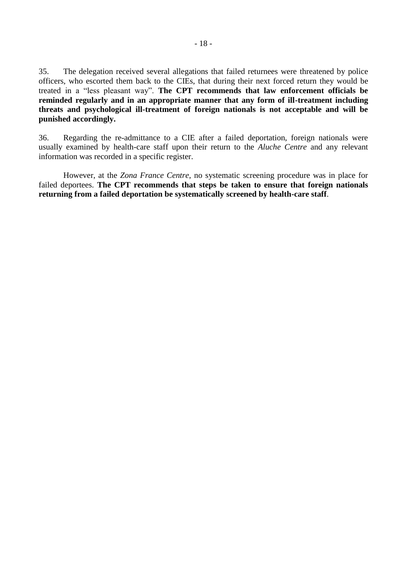35. The delegation received several allegations that failed returnees were threatened by police officers, who escorted them back to the CIEs, that during their next forced return they would be treated in a "less pleasant way". **The CPT recommends that law enforcement officials be reminded regularly and in an appropriate manner that any form of ill-treatment including threats and psychological ill-treatment of foreign nationals is not acceptable and will be punished accordingly.**

36. Regarding the re-admittance to a CIE after a failed deportation, foreign nationals were usually examined by health-care staff upon their return to the *Aluche Centre* and any relevant information was recorded in a specific register.

However, at the *Zona France Centre*, no systematic screening procedure was in place for failed deportees. **The CPT recommends that steps be taken to ensure that foreign nationals returning from a failed deportation be systematically screened by health-care staff**.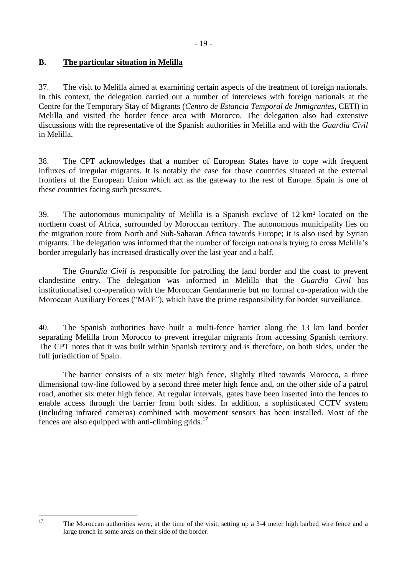# <span id="page-18-0"></span>**B. The particular situation in Melilla**

 $17$ 

37. The visit to Melilla aimed at examining certain aspects of the treatment of foreign nationals. In this context, the delegation carried out a number of interviews with foreign nationals at the Centre for the Temporary Stay of Migrants (*Centro de Estancia Temporal de Inmigrantes*, CETI) in Melilla and visited the border fence area with Morocco. The delegation also had extensive discussions with the representative of the Spanish authorities in Melilla and with the *Guardia Civil* in Melilla.

38. The CPT acknowledges that a number of European States have to cope with frequent influxes of irregular migrants. It is notably the case for those countries situated at the external frontiers of the European Union which act as the gateway to the rest of Europe. Spain is one of these countries facing such pressures.

39. The autonomous municipality of Melilla is a Spanish exclave of 12 km² located on the northern coast of Africa, surrounded by Moroccan territory. The autonomous municipality lies on the migration route from North and Sub-Saharan Africa towards Europe; it is also used by Syrian migrants. The delegation was informed that the number of foreign nationals trying to cross Melilla's border irregularly has increased drastically over the last year and a half.

The *Guardia Civil* is responsible for patrolling the land border and the coast to prevent clandestine entry. The delegation was informed in Melilla that the *Guardia Civil* has institutionalised co-operation with the Moroccan Gendarmerie but no formal co-operation with the Moroccan Auxiliary Forces ("MAF"), which have the prime responsibility for border surveillance.

40. The Spanish authorities have built a multi-fence barrier along the 13 km land border separating Melilla from Morocco to prevent irregular migrants from accessing Spanish territory. The CPT notes that it was built within Spanish territory and is therefore, on both sides, under the full jurisdiction of Spain.

The barrier consists of a six meter high fence, slightly tilted towards Morocco, a three dimensional tow-line followed by a second three meter high fence and, on the other side of a patrol road, another six meter high fence. At regular intervals, gates have been inserted into the fences to enable access through the barrier from both sides. In addition, a sophisticated CCTV system (including infrared cameras) combined with movement sensors has been installed. Most of the fences are also equipped with anti-climbing grids. $17$ 

<sup>17</sup> The Moroccan authorities were, at the time of the visit, setting up a 3-4 meter high barbed wire fence and a large trench in some areas on their side of the border.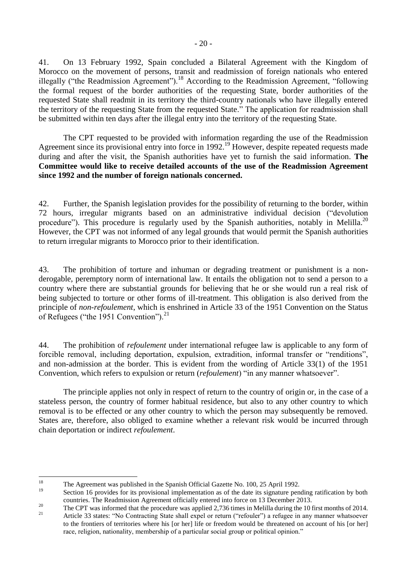41. On 13 February 1992, Spain concluded a Bilateral Agreement with the Kingdom of Morocco on the movement of persons, transit and readmission of foreign nationals who entered illegally ("the Readmission Agreement").<sup>18</sup> According to the Readmission Agreement, "following the formal request of the border authorities of the requesting State, border authorities of the requested State shall readmit in its territory the third-country nationals who have illegally entered the territory of the requesting State from the requested State." The application for readmission shall be submitted within ten days after the illegal entry into the territory of the requesting State.

The CPT requested to be provided with information regarding the use of the Readmission Agreement since its provisional entry into force in 1992.<sup>19</sup> However, despite repeated requests made during and after the visit, the Spanish authorities have yet to furnish the said information. **The Committee would like to receive detailed accounts of the use of the Readmission Agreement since 1992 and the number of foreign nationals concerned.**

42. Further, the Spanish legislation provides for the possibility of returning to the border, within 72 hours, irregular migrants based on an administrative individual decision ("devolution procedure"). This procedure is regularly used by the Spanish authorities, notably in Melilla.<sup>20</sup> However, the CPT was not informed of any legal grounds that would permit the Spanish authorities to return irregular migrants to Morocco prior to their identification.

43. The prohibition of torture and inhuman or degrading treatment or punishment is a nonderogable, peremptory norm of international law. It entails the obligation not to send a person to a country where there are substantial grounds for believing that he or she would run a real risk of being subjected to torture or other forms of ill-treatment. This obligation is also derived from the principle of *non-refoulement*, which is enshrined in Article 33 of the 1951 Convention on the Status of Refugees ("the 1951 Convention").<sup>21</sup>

44. The prohibition of *refoulement* under international refugee law is applicable to any form of forcible removal, including deportation, expulsion, extradition, informal transfer or "renditions", and non-admission at the border. This is evident from the wording of Article 33(1) of the 1951 Convention, which refers to expulsion or return (*refoulement*) "in any manner whatsoever".

The principle applies not only in respect of return to the country of origin or, in the case of a stateless person, the country of former habitual residence, but also to any other country to which removal is to be effected or any other country to which the person may subsequently be removed. States are, therefore, also obliged to examine whether a relevant risk would be incurred through chain deportation or indirect *refoulement*.

<sup>18</sup> <sup>18</sup> The Agreement was published in the Spanish Official Gazette No. 100, 25 April 1992.

Section 16 provides for its provisional implementation as of the date its signature pending ratification by both countries. The Readmission Agreement officially entered into force on 13 December 2013.

<sup>&</sup>lt;sup>20</sup><br>The CPT was informed that the procedure was applied 2,736 times in Melilla during the 10 first months of 2014.

<sup>21</sup> Article 33 states: "No Contracting State shall expel or return ("refouler") a refugee in any manner whatsoever to the frontiers of territories where his [or her] life or freedom would be threatened on account of his [or her] race, religion, nationality, membership of a particular social group or political opinion."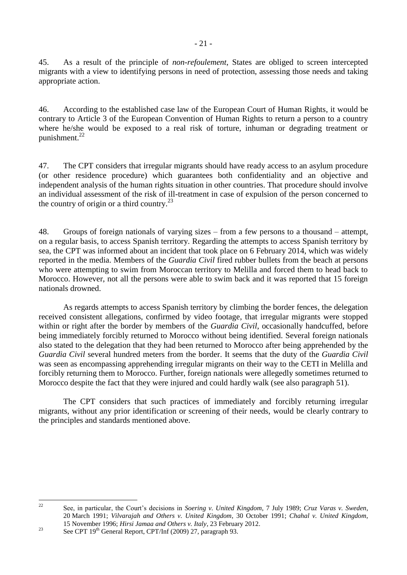45. As a result of the principle of *non*-*refoulement*, States are obliged to screen intercepted migrants with a view to identifying persons in need of protection, assessing those needs and taking appropriate action.

46. According to the established case law of the European Court of Human Rights, it would be contrary to Article 3 of the European Convention of Human Rights to return a person to a country where he/she would be exposed to a real risk of torture, inhuman or degrading treatment or punishment. 22

47. The CPT considers that irregular migrants should have ready access to an asylum procedure (or other residence procedure) which guarantees both confidentiality and an objective and independent analysis of the human rights situation in other countries. That procedure should involve an individual assessment of the risk of ill-treatment in case of expulsion of the person concerned to the country of origin or a third country. $^{23}$ 

48. Groups of foreign nationals of varying sizes – from a few persons to a thousand – attempt, on a regular basis, to access Spanish territory. Regarding the attempts to access Spanish territory by sea, the CPT was informed about an incident that took place on 6 February 2014, which was widely reported in the media. Members of the *Guardia Civil* fired rubber bullets from the beach at persons who were attempting to swim from Moroccan territory to Melilla and forced them to head back to Morocco. However, not all the persons were able to swim back and it was reported that 15 foreign nationals drowned.

As regards attempts to access Spanish territory by climbing the border fences, the delegation received consistent allegations, confirmed by video footage, that irregular migrants were stopped within or right after the border by members of the *Guardia Civil*, occasionally handcuffed, before being immediately forcibly returned to Morocco without being identified. Several foreign nationals also stated to the delegation that they had been returned to Morocco after being apprehended by the *Guardia Civil* several hundred meters from the border. It seems that the duty of the *Guardia Civil* was seen as encompassing apprehending irregular migrants on their way to the CETI in Melilla and forcibly returning them to Morocco. Further, foreign nationals were allegedly sometimes returned to Morocco despite the fact that they were injured and could hardly walk (see also paragraph 51).

The CPT considers that such practices of immediately and forcibly returning irregular migrants, without any prior identification or screening of their needs, would be clearly contrary to the principles and standards mentioned above.

 $\mathfrak{D}$ <sup>22</sup> See, in particular, the Court's decisions in *Soering v. United Kingdom*, 7 July 1989; *Cruz Varas v. Sweden*, 20 March 1991; *Vilvarajah and Others v. United Kingdom*, 30 October 1991; *Chahal v. United Kingdom*, 15 November 1996; *Hirsi Jamaa and Others v. Italy,* 23 February 2012.

<sup>&</sup>lt;sup>23</sup> See CPT 19<sup>th</sup> General Report, CPT/Inf (2009) 27, paragraph 93.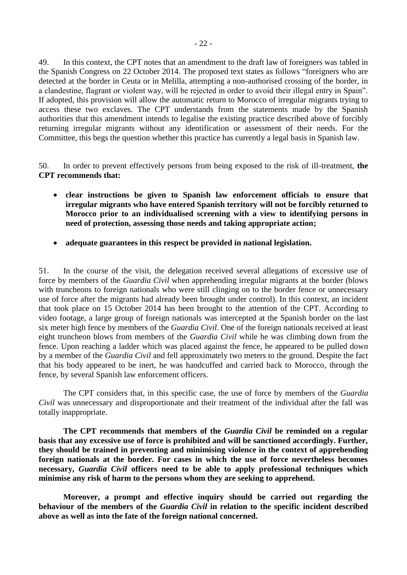49. In this context, the CPT notes that an amendment to the draft law of foreigners was tabled in the Spanish Congress on 22 October 2014. The proposed text states as follows "foreigners who are detected at the border in Ceuta or in Melilla, attempting a non-authorised crossing of the border, in a clandestine, flagrant or violent way, will be rejected in order to avoid their illegal entry in Spain". If adopted, this provision will allow the automatic return to Morocco of irregular migrants trying to access these two exclaves. The CPT understands from the statements made by the Spanish authorities that this amendment intends to legalise the existing practice described above of forcibly returning irregular migrants without any identification or assessment of their needs. For the Committee, this begs the question whether this practice has currently a legal basis in Spanish law.

50. In order to prevent effectively persons from being exposed to the risk of ill-treatment, **the CPT recommends that:**

- **clear instructions be given to Spanish law enforcement officials to ensure that irregular migrants who have entered Spanish territory will not be forcibly returned to Morocco prior to an individualised screening with a view to identifying persons in need of protection, assessing those needs and taking appropriate action;**
- **adequate guarantees in this respect be provided in national legislation.**

51. In the course of the visit, the delegation received several allegations of excessive use of force by members of the *Guardia Civil* when apprehending irregular migrants at the border (blows with truncheons to foreign nationals who were still clinging on to the border fence or unnecessary use of force after the migrants had already been brought under control). In this context, an incident that took place on 15 October 2014 has been brought to the attention of the CPT. According to video footage, a large group of foreign nationals was intercepted at the Spanish border on the last six meter high fence by members of the *Guardia Civil*. One of the foreign nationals received at least eight truncheon blows from members of the *Guardia Civil* while he was climbing down from the fence. Upon reaching a ladder which was placed against the fence, he appeared to be pulled down by a member of the *Guardia Civil* and fell approximately two meters to the ground. Despite the fact that his body appeared to be inert, he was handcuffed and carried back to Morocco, through the fence, by several Spanish law enforcement officers.

The CPT considers that, in this specific case, the use of force by members of the *Guardia Civil* was unnecessary and disproportionate and their treatment of the individual after the fall was totally inappropriate.

**The CPT recommends that members of the** *Guardia Civil* **be reminded on a regular basis that any excessive use of force is prohibited and will be sanctioned accordingly. Further, they should be trained in preventing and minimising violence in the context of apprehending foreign nationals at the border. For cases in which the use of force nevertheless becomes necessary,** *Guardia Civil* **officers need to be able to apply professional techniques which minimise any risk of harm to the persons whom they are seeking to apprehend.** 

**Moreover, a prompt and effective inquiry should be carried out regarding the behaviour of the members of the** *Guardia Civil* **in relation to the specific incident described above as well as into the fate of the foreign national concerned.**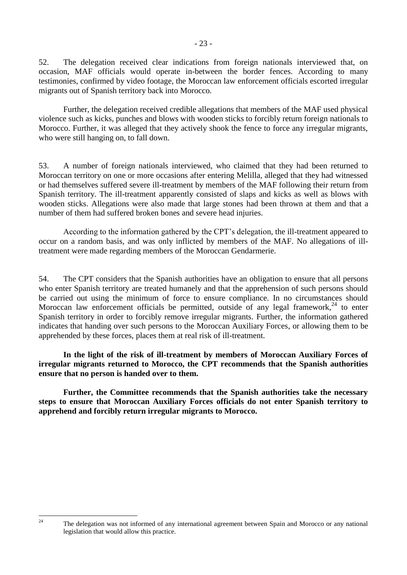52. The delegation received clear indications from foreign nationals interviewed that, on occasion, MAF officials would operate in-between the border fences. According to many testimonies, confirmed by video footage, the Moroccan law enforcement officials escorted irregular migrants out of Spanish territory back into Morocco.

Further, the delegation received credible allegations that members of the MAF used physical violence such as kicks, punches and blows with wooden sticks to forcibly return foreign nationals to Morocco. Further, it was alleged that they actively shook the fence to force any irregular migrants, who were still hanging on, to fall down.

53. A number of foreign nationals interviewed, who claimed that they had been returned to Moroccan territory on one or more occasions after entering Melilla, alleged that they had witnessed or had themselves suffered severe ill-treatment by members of the MAF following their return from Spanish territory. The ill-treatment apparently consisted of slaps and kicks as well as blows with wooden sticks. Allegations were also made that large stones had been thrown at them and that a number of them had suffered broken bones and severe head injuries.

According to the information gathered by the CPT's delegation, the ill-treatment appeared to occur on a random basis, and was only inflicted by members of the MAF. No allegations of illtreatment were made regarding members of the Moroccan Gendarmerie.

54. The CPT considers that the Spanish authorities have an obligation to ensure that all persons who enter Spanish territory are treated humanely and that the apprehension of such persons should be carried out using the minimum of force to ensure compliance. In no circumstances should Moroccan law enforcement officials be permitted, outside of any legal framework,  $24$  to enter Spanish territory in order to forcibly remove irregular migrants. Further, the information gathered indicates that handing over such persons to the Moroccan Auxiliary Forces, or allowing them to be apprehended by these forces, places them at real risk of ill-treatment.

**In the light of the risk of ill-treatment by members of Moroccan Auxiliary Forces of irregular migrants returned to Morocco, the CPT recommends that the Spanish authorities ensure that no person is handed over to them.**

**Further, the Committee recommends that the Spanish authorities take the necessary steps to ensure that Moroccan Auxiliary Forces officials do not enter Spanish territory to apprehend and forcibly return irregular migrants to Morocco.** 

 $24$ 

The delegation was not informed of any international agreement between Spain and Morocco or any national legislation that would allow this practice.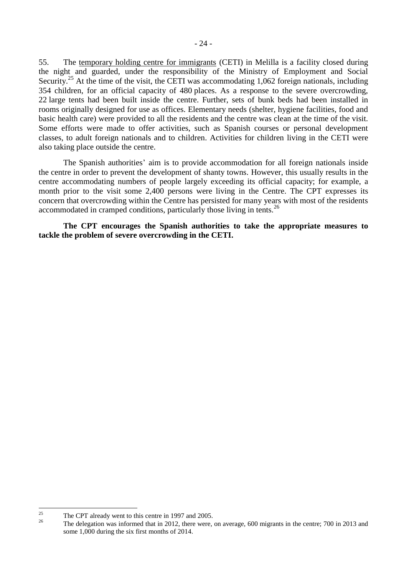55. The temporary holding centre for immigrants (CETI) in Melilla is a facility closed during the night and guarded, under the responsibility of the Ministry of Employment and Social Security.<sup>25</sup> At the time of the visit, the CETI was accommodating 1,062 foreign nationals, including 354 children, for an official capacity of 480 places. As a response to the severe overcrowding, 22 large tents had been built inside the centre. Further, sets of bunk beds had been installed in rooms originally designed for use as offices. Elementary needs (shelter, hygiene facilities, food and basic health care) were provided to all the residents and the centre was clean at the time of the visit. Some efforts were made to offer activities, such as Spanish courses or personal development classes, to adult foreign nationals and to children. Activities for children living in the CETI were also taking place outside the centre.

The Spanish authorities' aim is to provide accommodation for all foreign nationals inside the centre in order to prevent the development of shanty towns. However, this usually results in the centre accommodating numbers of people largely exceeding its official capacity; for example, a month prior to the visit some 2,400 persons were living in the Centre. The CPT expresses its concern that overcrowding within the Centre has persisted for many years with most of the residents accommodated in cramped conditions, particularly those living in tents.<sup>26</sup>

**The CPT encourages the Spanish authorities to take the appropriate measures to tackle the problem of severe overcrowding in the CETI.**

<sup>25</sup> <sup>25</sup> The CPT already went to this centre in 1997 and 2005.

<sup>26</sup> The delegation was informed that in 2012, there were, on average, 600 migrants in the centre; 700 in 2013 and some 1,000 during the six first months of 2014.